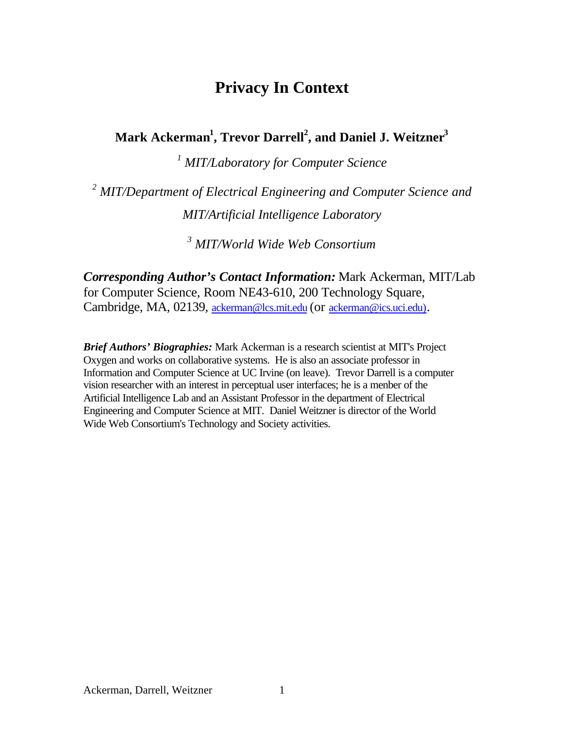# **Privacy In Context**

**Mark Ackerman<sup>1</sup> , Trevor Darrell<sup>2</sup> , and Daniel J. Weitzner<sup>3</sup>**

*1 MIT/Laboratory for Computer Science*

*2 MIT/Department of Electrical Engineering and Computer Science and MIT/Artificial Intelligence Laboratory*

*3 MIT/World Wide Web Consortium*

*Corresponding Author's Contact Information:* Mark Ackerman, MIT/Lab for Computer Science, Room NE43-610, 200 Technology Square, Cambridge, MA, 02139, ackerman@lcs.mit.edu (or ackerman@ics.uci.edu).

*Brief Authors' Biographies:* Mark Ackerman is a research scientist at MIT's Project Oxygen and works on collaborative systems. He is also an associate professor in Information and Computer Science at UC Irvine (on leave). Trevor Darrell is a computer vision researcher with an interest in perceptual user interfaces; he is a menber of the Artificial Intelligence Lab and an Assistant Professor in the department of Electrical Engineering and Computer Science at MIT. Daniel Weitzner is director of the World Wide Web Consortium's Technology and Society activities.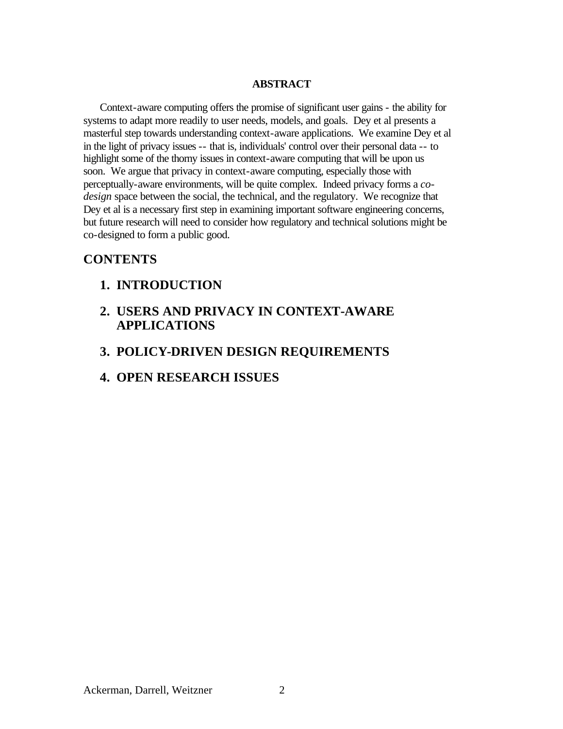#### **ABSTRACT**

Context-aware computing offers the promise of significant user gains - the ability for systems to adapt more readily to user needs, models, and goals. Dey et al presents a masterful step towards understanding context-aware applications. We examine Dey et al in the light of privacy issues -- that is, individuals' control over their personal data -- to highlight some of the thorny issues in context-aware computing that will be upon us soon. We argue that privacy in context-aware computing, especially those with perceptually-aware environments, will be quite complex. Indeed privacy forms a *codesign* space between the social, the technical, and the regulatory. We recognize that Dey et al is a necessary first step in examining important software engineering concerns, but future research will need to consider how regulatory and technical solutions might be co-designed to form a public good.

## **CONTENTS**

## **1. INTRODUCTION**

- **2. USERS AND PRIVACY IN CONTEXT-AWARE APPLICATIONS**
- **3. POLICY-DRIVEN DESIGN REQUIREMENTS**
- **4. OPEN RESEARCH ISSUES**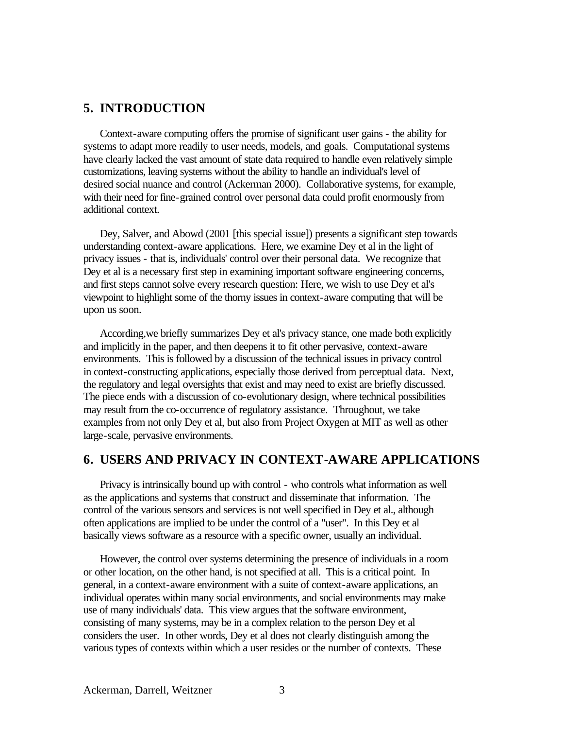## **5. INTRODUCTION**

Context-aware computing offers the promise of significant user gains - the ability for systems to adapt more readily to user needs, models, and goals. Computational systems have clearly lacked the vast amount of state data required to handle even relatively simple customizations, leaving systems without the ability to handle an individual's level of desired social nuance and control (Ackerman 2000). Collaborative systems, for example, with their need for fine-grained control over personal data could profit enormously from additional context.

Dey, Salver, and Abowd (2001 [this special issue]) presents a significant step towards understanding context-aware applications. Here, we examine Dey et al in the light of privacy issues - that is, individuals' control over their personal data. We recognize that Dey et al is a necessary first step in examining important software engineering concerns, and first steps cannot solve every research question: Here, we wish to use Dey et al's viewpoint to highlight some of the thorny issues in context-aware computing that will be upon us soon.

According,we briefly summarizes Dey et al's privacy stance, one made both explicitly and implicitly in the paper, and then deepens it to fit other pervasive, context-aware environments. This is followed by a discussion of the technical issues in privacy control in context-constructing applications, especially those derived from perceptual data. Next, the regulatory and legal oversights that exist and may need to exist are briefly discussed. The piece ends with a discussion of co-evolutionary design, where technical possibilities may result from the co-occurrence of regulatory assistance. Throughout, we take examples from not only Dey et al, but also from Project Oxygen at MIT as well as other large-scale, pervasive environments.

### **6. USERS AND PRIVACY IN CONTEXT-AWARE APPLICATIONS**

Privacy is intrinsically bound up with control - who controls what information as well as the applications and systems that construct and disseminate that information. The control of the various sensors and services is not well specified in Dey et al., although often applications are implied to be under the control of a "user". In this Dey et al basically views software as a resource with a specific owner, usually an individual.

However, the control over systems determining the presence of individuals in a room or other location, on the other hand, is not specified at all. This is a critical point. In general, in a context-aware environment with a suite of context-aware applications, an individual operates within many social environments, and social environments may make use of many individuals' data. This view argues that the software environment, consisting of many systems, may be in a complex relation to the person Dey et al considers the user. In other words, Dey et al does not clearly distinguish among the various types of contexts within which a user resides or the number of contexts. These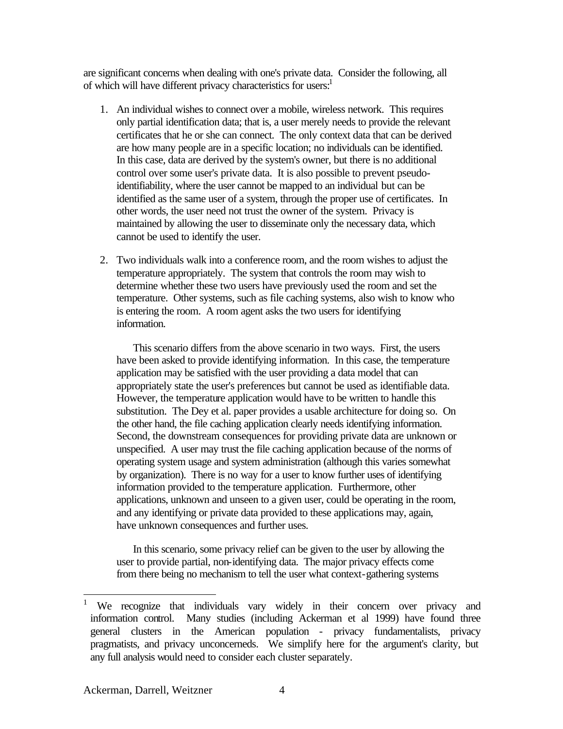are significant concerns when dealing with one's private data. Consider the following, all of which will have different privacy characteristics for users:<sup>1</sup>

- 1. An individual wishes to connect over a mobile, wireless network. This requires only partial identification data; that is, a user merely needs to provide the relevant certificates that he or she can connect. The only context data that can be derived are how many people are in a specific location; no individuals can be identified. In this case, data are derived by the system's owner, but there is no additional control over some user's private data. It is also possible to prevent pseudoidentifiability, where the user cannot be mapped to an individual but can be identified as the same user of a system, through the proper use of certificates. In other words, the user need not trust the owner of the system. Privacy is maintained by allowing the user to disseminate only the necessary data, which cannot be used to identify the user.
- 2. Two individuals walk into a conference room, and the room wishes to adjust the temperature appropriately. The system that controls the room may wish to determine whether these two users have previously used the room and set the temperature. Other systems, such as file caching systems, also wish to know who is entering the room. A room agent asks the two users for identifying information.

This scenario differs from the above scenario in two ways. First, the users have been asked to provide identifying information. In this case, the temperature application may be satisfied with the user providing a data model that can appropriately state the user's preferences but cannot be used as identifiable data. However, the temperature application would have to be written to handle this substitution. The Dey et al. paper provides a usable architecture for doing so. On the other hand, the file caching application clearly needs identifying information. Second, the downstream consequences for providing private data are unknown or unspecified. A user may trust the file caching application because of the norms of operating system usage and system administration (although this varies somewhat by organization). There is no way for a user to know further uses of identifying information provided to the temperature application. Furthermore, other applications, unknown and unseen to a given user, could be operating in the room, and any identifying or private data provided to these applications may, again, have unknown consequences and further uses.

In this scenario, some privacy relief can be given to the user by allowing the user to provide partial, non-identifying data. The major privacy effects come from there being no mechanism to tell the user what context-gathering systems

 $\overline{a}$ 

<sup>1</sup> We recognize that individuals vary widely in their concern over privacy and information control. Many studies (including Ackerman et al 1999) have found three general clusters in the American population - privacy fundamentalists, privacy pragmatists, and privacy unconcerneds. We simplify here for the argument's clarity, but any full analysis would need to consider each cluster separately.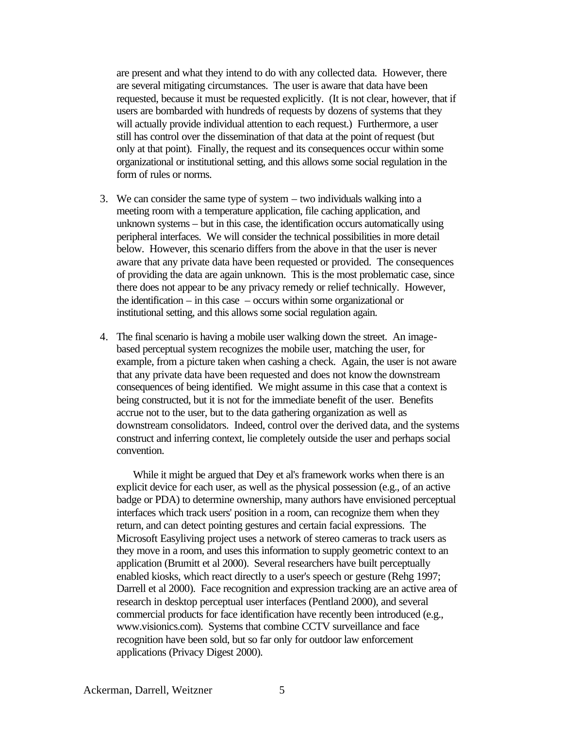are present and what they intend to do with any collected data. However, there are several mitigating circumstances. The user is aware that data have been requested, because it must be requested explicitly. (It is not clear, however, that if users are bombarded with hundreds of requests by dozens of systems that they will actually provide individual attention to each request.) Furthermore, a user still has control over the dissemination of that data at the point of request (but only at that point). Finally, the request and its consequences occur within some organizational or institutional setting, and this allows some social regulation in the form of rules or norms.

- 3. We can consider the same type of system two individuals walking into a meeting room with a temperature application, file caching application, and unknown systems – but in this case, the identification occurs automatically using peripheral interfaces. We will consider the technical possibilities in more detail below. However, this scenario differs from the above in that the user is never aware that any private data have been requested or provided. The consequences of providing the data are again unknown. This is the most problematic case, since there does not appear to be any privacy remedy or relief technically. However, the identification – in this case – occurs within some organizational or institutional setting, and this allows some social regulation again.
- 4. The final scenario is having a mobile user walking down the street. An imagebased perceptual system recognizes the mobile user, matching the user, for example, from a picture taken when cashing a check. Again, the user is not aware that any private data have been requested and does not know the downstream consequences of being identified. We might assume in this case that a context is being constructed, but it is not for the immediate benefit of the user. Benefits accrue not to the user, but to the data gathering organization as well as downstream consolidators. Indeed, control over the derived data, and the systems construct and inferring context, lie completely outside the user and perhaps social convention.

While it might be argued that Dey et al's framework works when there is an explicit device for each user, as well as the physical possession (e.g., of an active badge or PDA) to determine ownership, many authors have envisioned perceptual interfaces which track users' position in a room, can recognize them when they return, and can detect pointing gestures and certain facial expressions. The Microsoft Easyliving project uses a network of stereo cameras to track users as they move in a room, and uses this information to supply geometric context to an application (Brumitt et al 2000). Several researchers have built perceptually enabled kiosks, which react directly to a user's speech or gesture (Rehg 1997; Darrell et al 2000). Face recognition and expression tracking are an active area of research in desktop perceptual user interfaces (Pentland 2000), and several commercial products for face identification have recently been introduced (e.g., www.visionics.com). Systems that combine CCTV surveillance and face recognition have been sold, but so far only for outdoor law enforcement applications (Privacy Digest 2000).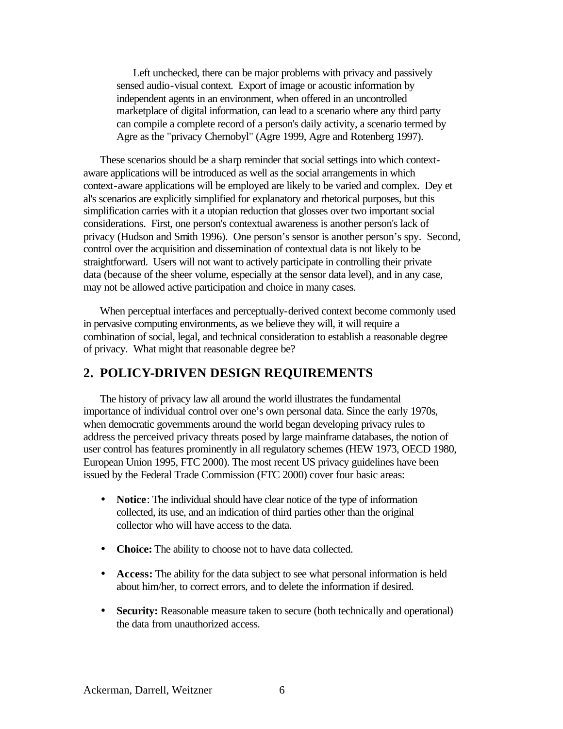Left unchecked, there can be major problems with privacy and passively sensed audio-visual context. Export of image or acoustic information by independent agents in an environment, when offered in an uncontrolled marketplace of digital information, can lead to a scenario where any third party can compile a complete record of a person's daily activity, a scenario termed by Agre as the "privacy Chernobyl" (Agre 1999, Agre and Rotenberg 1997).

These scenarios should be a sharp reminder that social settings into which contextaware applications will be introduced as well as the social arrangements in which context-aware applications will be employed are likely to be varied and complex. Dey et al's scenarios are explicitly simplified for explanatory and rhetorical purposes, but this simplification carries with it a utopian reduction that glosses over two important social considerations. First, one person's contextual awareness is another person's lack of privacy (Hudson and Smith 1996). One person's sensor is another person's spy. Second, control over the acquisition and dissemination of contextual data is not likely to be straightforward. Users will not want to actively participate in controlling their private data (because of the sheer volume, especially at the sensor data level), and in any case, may not be allowed active participation and choice in many cases.

When perceptual interfaces and perceptually-derived context become commonly used in pervasive computing environments, as we believe they will, it will require a combination of social, legal, and technical consideration to establish a reasonable degree of privacy. What might that reasonable degree be?

### **2. POLICY-DRIVEN DESIGN REQUIREMENTS**

The history of privacy law all around the world illustrates the fundamental importance of individual control over one's own personal data. Since the early 1970s, when democratic governments around the world began developing privacy rules to address the perceived privacy threats posed by large mainframe databases, the notion of user control has features prominently in all regulatory schemes (HEW 1973, OECD 1980, European Union 1995, FTC 2000). The most recent US privacy guidelines have been issued by the Federal Trade Commission (FTC 2000) cover four basic areas:

- **Notice**: The individual should have clear notice of the type of information collected, its use, and an indication of third parties other than the original collector who will have access to the data.
- **Choice:** The ability to choose not to have data collected.
- **Access:** The ability for the data subject to see what personal information is held about him/her, to correct errors, and to delete the information if desired.
- **Security:** Reasonable measure taken to secure (both technically and operational) the data from unauthorized access.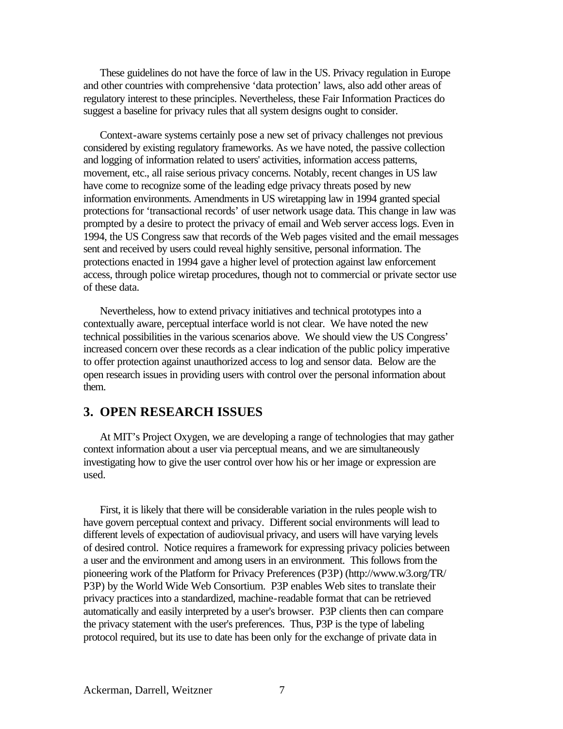These guidelines do not have the force of law in the US. Privacy regulation in Europe and other countries with comprehensive 'data protection' laws, also add other areas of regulatory interest to these principles. Nevertheless, these Fair Information Practices do suggest a baseline for privacy rules that all system designs ought to consider.

Context-aware systems certainly pose a new set of privacy challenges not previous considered by existing regulatory frameworks. As we have noted, the passive collection and logging of information related to users' activities, information access patterns, movement, etc., all raise serious privacy concerns. Notably, recent changes in US law have come to recognize some of the leading edge privacy threats posed by new information environments. Amendments in US wiretapping law in 1994 granted special protections for 'transactional records' of user network usage data. This change in law was prompted by a desire to protect the privacy of email and Web server access logs. Even in 1994, the US Congress saw that records of the Web pages visited and the email messages sent and received by users could reveal highly sensitive, personal information. The protections enacted in 1994 gave a higher level of protection against law enforcement access, through police wiretap procedures, though not to commercial or private sector use of these data.

Nevertheless, how to extend privacy initiatives and technical prototypes into a contextually aware, perceptual interface world is not clear. We have noted the new technical possibilities in the various scenarios above. We should view the US Congress' increased concern over these records as a clear indication of the public policy imperative to offer protection against unauthorized access to log and sensor data. Below are the open research issues in providing users with control over the personal information about them.

#### **3. OPEN RESEARCH ISSUES**

At MIT's Project Oxygen, we are developing a range of technologies that may gather context information about a user via perceptual means, and we are simultaneously investigating how to give the user control over how his or her image or expression are used.

First, it is likely that there will be considerable variation in the rules people wish to have govern perceptual context and privacy. Different social environments will lead to different levels of expectation of audiovisual privacy, and users will have varying levels of desired control. Notice requires a framework for expressing privacy policies between a user and the environment and among users in an environment. This follows from the pioneering work of the Platform for Privacy Preferences (P3P) (http://www.w3.org/TR/ P3P) by the World Wide Web Consortium. P3P enables Web sites to translate their privacy practices into a standardized, machine-readable format that can be retrieved automatically and easily interpreted by a user's browser. P3P clients then can compare the privacy statement with the user's preferences. Thus, P3P is the type of labeling protocol required, but its use to date has been only for the exchange of private data in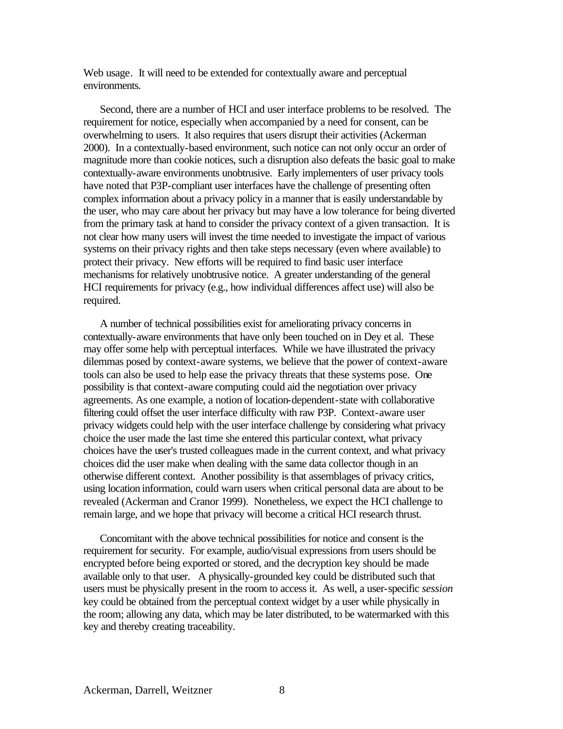Web usage. It will need to be extended for contextually aware and perceptual environments.

Second, there are a number of HCI and user interface problems to be resolved. The requirement for notice, especially when accompanied by a need for consent, can be overwhelming to users. It also requires that users disrupt their activities (Ackerman 2000). In a contextually-based environment, such notice can not only occur an order of magnitude more than cookie notices, such a disruption also defeats the basic goal to make contextually-aware environments unobtrusive. Early implementers of user privacy tools have noted that P3P-compliant user interfaces have the challenge of presenting often complex information about a privacy policy in a manner that is easily understandable by the user, who may care about her privacy but may have a low tolerance for being diverted from the primary task at hand to consider the privacy context of a given transaction. It is not clear how many users will invest the time needed to investigate the impact of various systems on their privacy rights and then take steps necessary (even where available) to protect their privacy. New efforts will be required to find basic user interface mechanisms for relatively unobtrusive notice. A greater understanding of the general HCI requirements for privacy (e.g., how individual differences affect use) will also be required.

A number of technical possibilities exist for ameliorating privacy concerns in contextually-aware environments that have only been touched on in Dey et al. These may offer some help with perceptual interfaces. While we have illustrated the privacy dilemmas posed by context-aware systems, we believe that the power of context-aware tools can also be used to help ease the privacy threats that these systems pose. One possibility is that context-aware computing could aid the negotiation over privacy agreements. As one example, a notion of location-dependent-state with collaborative filtering could offset the user interface difficulty with raw P3P. Context-aware user privacy widgets could help with the user interface challenge by considering what privacy choice the user made the last time she entered this particular context, what privacy choices have the user's trusted colleagues made in the current context, and what privacy choices did the user make when dealing with the same data collector though in an otherwise different context. Another possibility is that assemblages of privacy critics, using location information, could warn users when critical personal data are about to be revealed (Ackerman and Cranor 1999). Nonetheless, we expect the HCI challenge to remain large, and we hope that privacy will become a critical HCI research thrust.

Concomitant with the above technical possibilities for notice and consent is the requirement for security. For example, audio/visual expressions from users should be encrypted before being exported or stored, and the decryption key should be made available only to that user. A physically-grounded key could be distributed such that users must be physically present in the room to access it. As well, a user-specific *session* key could be obtained from the perceptual context widget by a user while physically in the room; allowing any data, which may be later distributed, to be watermarked with this key and thereby creating traceability.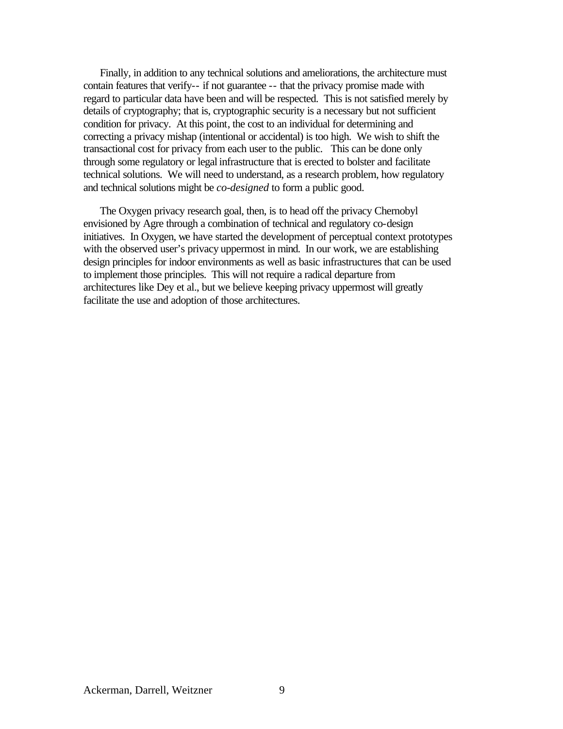Finally, in addition to any technical solutions and ameliorations, the architecture must contain features that verify-- if not guarantee -- that the privacy promise made with regard to particular data have been and will be respected. This is not satisfied merely by details of cryptography; that is, cryptographic security is a necessary but not sufficient condition for privacy. At this point, the cost to an individual for determining and correcting a privacy mishap (intentional or accidental) is too high. We wish to shift the transactional cost for privacy from each user to the public. This can be done only through some regulatory or legal infrastructure that is erected to bolster and facilitate technical solutions. We will need to understand, as a research problem, how regulatory and technical solutions might be *co-designed* to form a public good.

The Oxygen privacy research goal, then, is to head off the privacy Chernobyl envisioned by Agre through a combination of technical and regulatory co-design initiatives. In Oxygen, we have started the development of perceptual context prototypes with the observed user's privacy uppermost in mind. In our work, we are establishing design principles for indoor environments as well as basic infrastructures that can be used to implement those principles. This will not require a radical departure from architectures like Dey et al., but we believe keeping privacy uppermost will greatly facilitate the use and adoption of those architectures.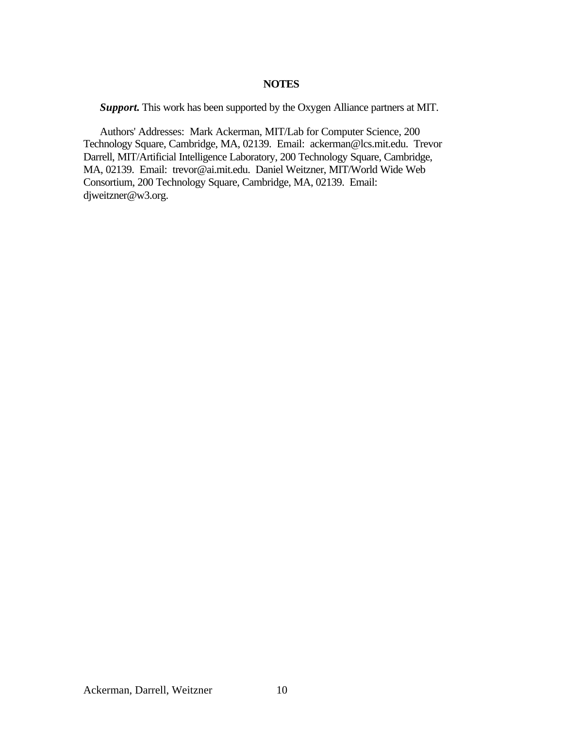#### **NOTES**

*Support.* This work has been supported by the Oxygen Alliance partners at MIT.

Authors' Addresses: Mark Ackerman, MIT/Lab for Computer Science, 200 Technology Square, Cambridge, MA, 02139. Email: ackerman@lcs.mit.edu. Trevor Darrell, MIT/Artificial Intelligence Laboratory, 200 Technology Square, Cambridge, MA, 02139. Email: trevor@ai.mit.edu. Daniel Weitzner, MIT/World Wide Web Consortium, 200 Technology Square, Cambridge, MA, 02139. Email: djweitzner@w3.org.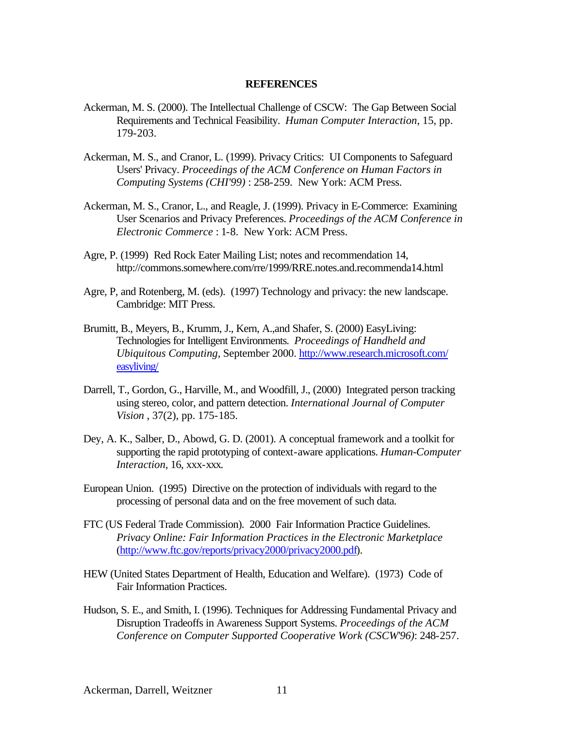#### **REFERENCES**

- Ackerman, M. S. (2000). The Intellectual Challenge of CSCW: The Gap Between Social Requirements and Technical Feasibility. *Human Computer Interaction*, 15, pp. 179-203.
- Ackerman, M. S., and Cranor, L. (1999). Privacy Critics: UI Components to Safeguard Users' Privacy. *Proceedings of the ACM Conference on Human Factors in Computing Systems (CHI'99)* : 258-259. New York: ACM Press.
- Ackerman, M. S., Cranor, L., and Reagle, J. (1999). Privacy in E-Commerce: Examining User Scenarios and Privacy Preferences. *Proceedings of the ACM Conference in Electronic Commerce* : 1-8. New York: ACM Press.
- Agre, P. (1999) Red Rock Eater Mailing List; notes and recommendation 14, http://commons.somewhere.com/rre/1999/RRE.notes.and.recommenda14.html
- Agre, P, and Rotenberg, M. (eds). (1997) Technology and privacy: the new landscape. Cambridge: MIT Press.
- Brumitt, B., Meyers, B., Krumm, J., Kern, A.,and Shafer, S. (2000) EasyLiving: Technologies for Intelligent Environments. *Proceedings of Handheld and Ubiquitous Computing*, September 2000. http://www.research.microsoft.com/ easyliving/
- Darrell, T., Gordon, G., Harville, M., and Woodfill, J., (2000) Integrated person tracking using stereo, color, and pattern detection. *International Journal of Computer Vision* , 37(2), pp. 175-185.
- Dey, A. K., Salber, D., Abowd, G. D. (2001). A conceptual framework and a toolkit for supporting the rapid prototyping of context-aware applications. *Human-Computer Interaction*, 16, xxx-xxx.
- European Union. (1995) Directive on the protection of individuals with regard to the processing of personal data and on the free movement of such data.
- FTC (US Federal Trade Commission). 2000 Fair Information Practice Guidelines. *Privacy Online: Fair Information Practices in the Electronic Marketplace* (http://www.ftc.gov/reports/privacy2000/privacy2000.pdf).
- HEW (United States Department of Health, Education and Welfare). (1973) Code of Fair Information Practices.
- Hudson, S. E., and Smith, I. (1996). Techniques for Addressing Fundamental Privacy and Disruption Tradeoffs in Awareness Support Systems. *Proceedings of the ACM Conference on Computer Supported Cooperative Work (CSCW'96)*: 248-257.